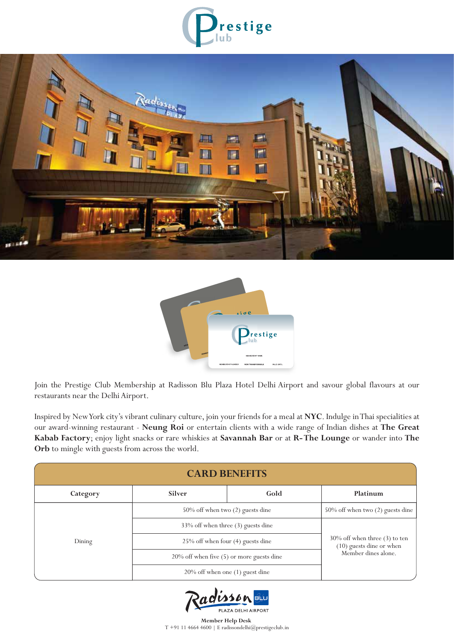





Join the Prestige Club Membership at Radisson Blu Plaza Hotel Delhi Airport and savour global flavours at our restaurants near the Delhi Airport.

Inspired by New York city's vibrant culinary culture, join your friends for a meal at **NYC**. Indulge in Thai specialities at our award-winning restaurant - **Neung Roi** or entertain clients with a wide range of Indian dishes at **The Great Kabab Factory**; enjoy light snacks or rare whiskies at **Savannah Bar** or at **R- The Lounge** or wander into **The Orb** to mingle with guests from across the world.

| <b>CARD BENEFITS</b> |                                              |      |                                                                                       |  |
|----------------------|----------------------------------------------|------|---------------------------------------------------------------------------------------|--|
| Category             | Silver                                       | Gold | Platinum                                                                              |  |
| Dining               | $50\%$ off when two $(2)$ guests dine        |      | 50% off when two (2) guests dine                                                      |  |
|                      | 33% off when three (3) guests dine           |      | $30\%$ off when three (3) to ten<br>$(10)$ guests dine or when<br>Member dines alone. |  |
|                      | $25\%$ off when four (4) guests dine         |      |                                                                                       |  |
|                      | $20\%$ off when five (5) or more guests dine |      |                                                                                       |  |
|                      | $20\%$ off when one (1) guest dine           |      |                                                                                       |  |

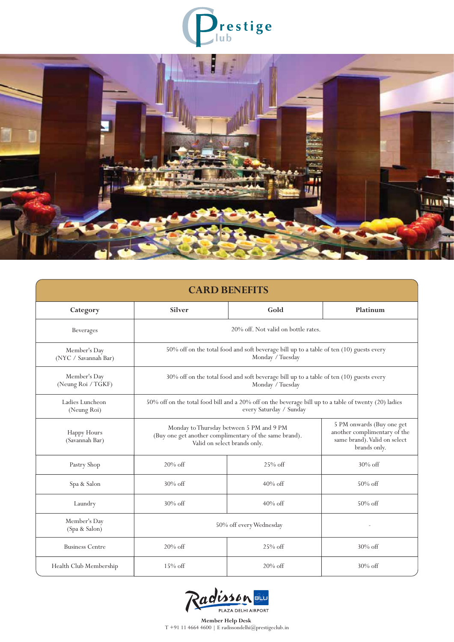



| <b>CARD BENEFITS</b>                 |                                                                                                                                    |                                                                                                           |            |  |
|--------------------------------------|------------------------------------------------------------------------------------------------------------------------------------|-----------------------------------------------------------------------------------------------------------|------------|--|
| Category                             | Gold<br>Silver                                                                                                                     |                                                                                                           | Platinum   |  |
| <b>Beverages</b>                     | 20% off. Not valid on bottle rates.                                                                                                |                                                                                                           |            |  |
| Member's Day<br>(NYC / Savannah Bar) | 50% off on the total food and soft beverage bill up to a table of ten (10) guests every<br>Monday / Tuesday                        |                                                                                                           |            |  |
| Member's Day<br>(Neung Roi / TGKF)   | 30% off on the total food and soft beverage bill up to a table of ten (10) guests every<br>Monday / Tuesday                        |                                                                                                           |            |  |
| Ladies Luncheon<br>(Neung Roi)       | 50% off on the total food bill and a 20% off on the beverage bill up to a table of twenty (20) ladies<br>every Saturday / Sunday   |                                                                                                           |            |  |
| Happy Hours<br>(Savannah Bar)        | Monday to Thursday between 5 PM and 9 PM<br>(Buy one get another complimentary of the same brand).<br>Valid on select brands only. | 5 PM onwards (Buy one get<br>another complimentary of the<br>same brand). Valid on select<br>brands only. |            |  |
| Pastry Shop                          | $25%$ off<br>$20\% \text{ off}$                                                                                                    |                                                                                                           | $30\%$ off |  |
| Spa & Salon                          | $30\%$ off<br>$40\%$ off                                                                                                           |                                                                                                           | $50\%$ off |  |
| Laundry                              | $30\%$ off<br>$40\%$ off                                                                                                           |                                                                                                           | $50\%$ off |  |
| Member's Day<br>(Spa & Salon)        | 50% off every Wednesday                                                                                                            |                                                                                                           |            |  |
| <b>Business Centre</b>               | $20\%$ off<br>$25\%$ off                                                                                                           |                                                                                                           | $30\%$ off |  |
| Health Club Membership               | $15\%$ off                                                                                                                         | 20% off                                                                                                   | $30\%$ off |  |

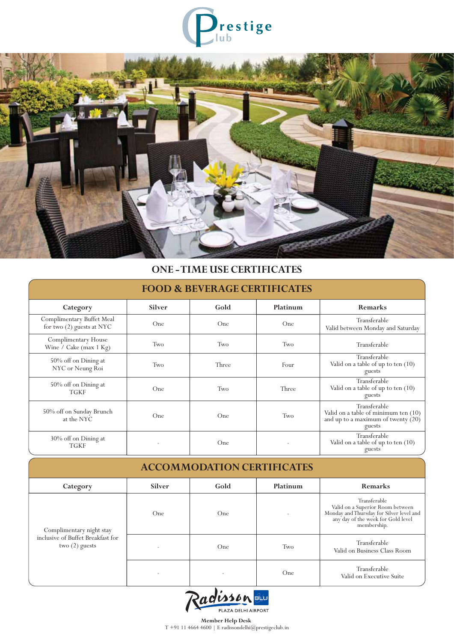



## **ONE - TIME USE CERTIFICATES**

| <b>FOOD &amp; BEVERAGE CERTIFICATES</b>                |               |       |          |                                                                                                        |
|--------------------------------------------------------|---------------|-------|----------|--------------------------------------------------------------------------------------------------------|
| Category                                               | <b>Silver</b> | Gold  | Platinum | <b>Remarks</b>                                                                                         |
| Complimentary Buffet Meal<br>for two (2) guests at NYC | One           | One   | One      | Transferable<br>Valid between Monday and Saturday                                                      |
| Complimentary House<br>Wine / Cake (max $1$ Kg)        | Two           | Two   | Two      | Transferable                                                                                           |
| 50% off on Dining at<br>NYC or Neung Roi               | Two           | Three | Four     | Transferable<br>Valid on a table of up to ten $(10)$<br>guests                                         |
| 50% off on Dining at<br><b>TGKF</b>                    | One           | Two   | Three    | Transferable<br>Valid on a table of up to ten (10)<br>guests                                           |
| 50% off on Sunday Brunch<br>at the NYC                 | One           | One   | Two      | Transferable<br>Valid on a table of minimum ten (10)<br>and up to a maximum of twenty $(20)$<br>guests |
| 30% off on Dining at<br><b>TGKF</b>                    |               | One   |          | Transferable<br>Valid on a table of up to ten (10)<br>guests                                           |

| <b>ACCOMMODATION CERTIFICATES</b>                                                 |        |      |          |                                                                                                                                                   |
|-----------------------------------------------------------------------------------|--------|------|----------|---------------------------------------------------------------------------------------------------------------------------------------------------|
| Category                                                                          | Silver | Gold | Platinum | <b>Remarks</b>                                                                                                                                    |
| Complimentary night stay<br>inclusive of Buffet Breakfast for<br>two $(2)$ guests | One    | One  |          | Transferable<br>Valid on a Superior Room between<br>Monday and Thursday for Silver level and<br>any day of the week for Gold level<br>membership. |
|                                                                                   |        | One  | Two      | Transferable<br>Valid on Business Class Room                                                                                                      |
|                                                                                   |        |      | One      | Transferable<br>Valid on Executive Suite                                                                                                          |

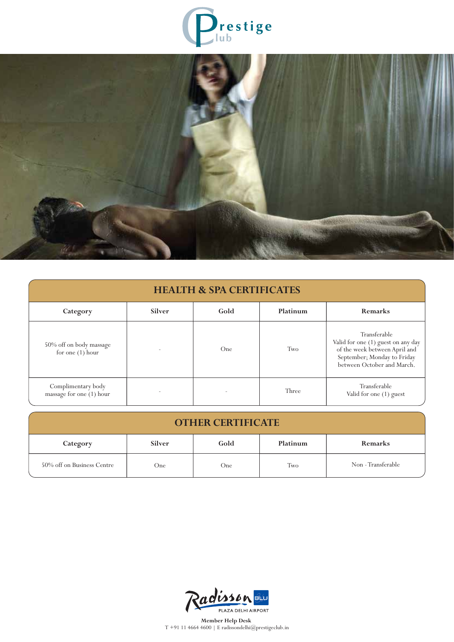



| <b>HEALTH &amp; SPA CERTIFICATES</b>           |               |      |          |                                                                                                                                                  |
|------------------------------------------------|---------------|------|----------|--------------------------------------------------------------------------------------------------------------------------------------------------|
| Category                                       | <b>Silver</b> | Gold | Platinum | Remarks                                                                                                                                          |
| 50% off on body massage<br>for one $(1)$ hour  |               | One. | Two      | Transferable<br>Valid for one (1) guest on any day<br>of the week between April and<br>September; Monday to Friday<br>between October and March. |
| Complimentary body<br>massage for one (1) hour |               |      | Three    | Transferable<br>Valid for one (1) guest                                                                                                          |

| <b>OTHER CERTIFICATE</b>   |        |      |          |                    |
|----------------------------|--------|------|----------|--------------------|
| Category                   | Silver | Gold | Platinum | <b>Remarks</b>     |
| 50% off on Business Centre | One    | One  | Two      | Non - Transferable |

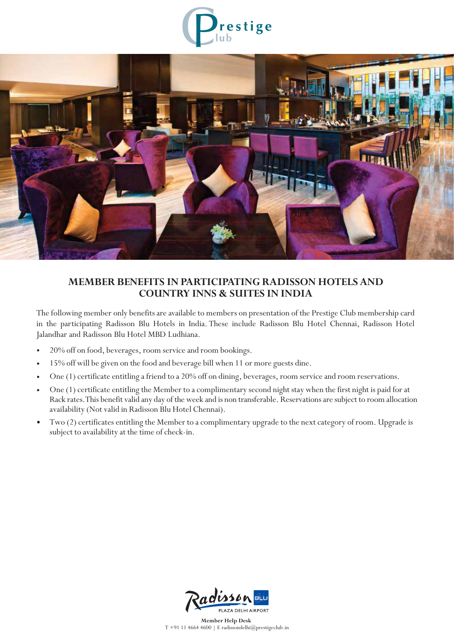



## **MEMBER BENEFITS IN PARTICIPATING RADISSON HOTELS AND COUNTRY INNS & SUITES IN INDIA**

The following member only benefits are available to members on presentation of the Prestige Club membership card in the participating Radisson Blu Hotels in India. These include Radisson Blu Hotel Chennai, Radisson Hotel Jalandhar and Radisson Blu Hotel MBD Ludhiana.

- 20% off on food, beverages, room service and room bookings.
- 15% off will be given on the food and beverage bill when 11 or more guests dine.
- One (1) certificate entitling a friend to a 20% off on dining, beverages, room service and room reservations.
- One (1) certificate entitling the Member to a complimentary second night stay when the first night is paid for at Rack rates.This benefit valid any day of the week and is non transferable. Reservations are subject to room allocation availability (Not valid in Radisson Blu Hotel Chennai).
- Two (2) certificates entitling the Member to a complimentary upgrade to the next category of room. Upgrade is subject to availability at the time of check-in.